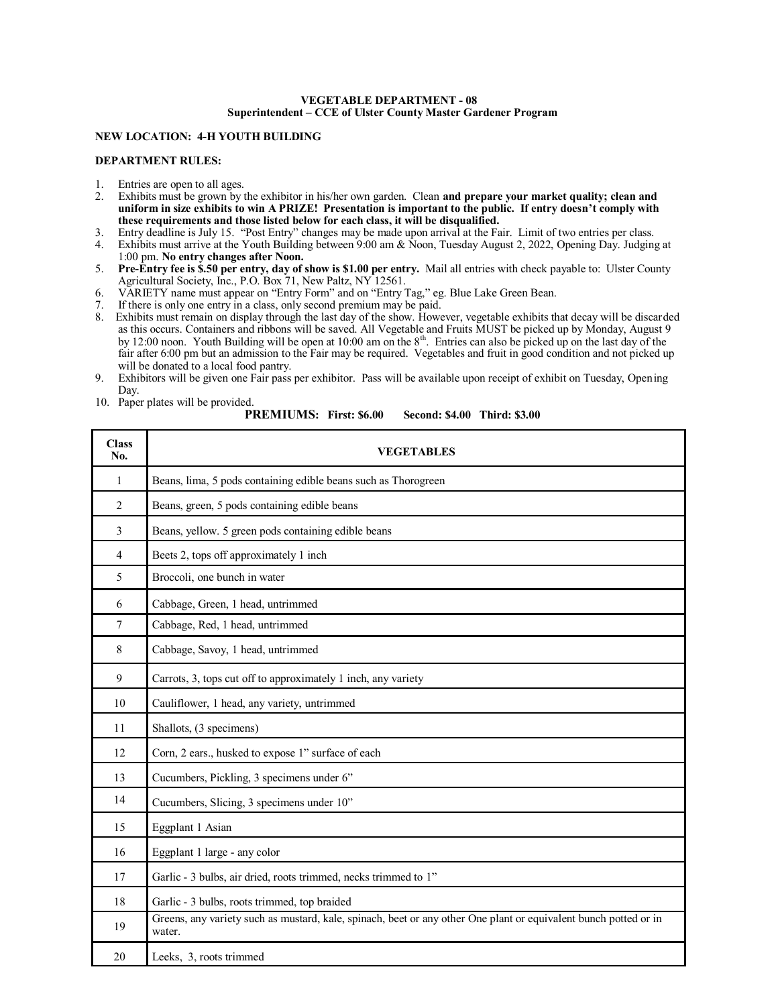#### **VEGETABLE DEPARTMENT - 08 Superintendent – CCE of Ulster County Master Gardener Program**

### **NEW LOCATION: 4-H YOUTH BUILDING**

### **DEPARTMENT RULES:**

- 1. Entries are open to all ages.
- 2. Exhibits must be grown by the exhibitor in his/her own garden. Clean **and prepare your market quality; clean and uniform in size exhibits to win A PRIZE! Presentation is important to the public. If entry doesn't comply with these requirements and those listed below for each class, it will be disqualified.**
- 3. Entry deadline is July 15. "Post Entry" changes may be made upon arrival at the Fair. Limit of two entries per class.
- 4. Exhibits must arrive at the Youth Building between 9:00 am & Noon, Tuesday August 2, 2022, Opening Day. Judging at 1:00 pm. **No entry changes after Noon.**
- 5. **Pre-Entry fee is \$.50 per entry, day of show is \$1.00 per entry.** Mail all entries with check payable to: Ulster County Agricultural Society, Inc., P.O. Box 71, New Paltz, NY 12561.
- 6. VARIETY name must appear on "Entry Form" and on "Entry Tag," eg. Blue Lake Green Bean.
- 7. If there is only one entry in a class, only second premium may be paid.
- 8. Exhibits must remain on display through the last day of the show. However, vegetable exhibits that decay will be discarded as this occurs. Containers and ribbons will be saved. All Vegetable and Fruits MUST be picked up by Monday, August 9 by 12:00 noon. Youth Building will be open at 10:00 am on the  $8<sup>th</sup>$ . Entries can also be picked up on the last day of the fair after 6:00 pm but an admission to the Fair may be required. Vegetables and fruit in good condition and not picked up will be donated to a local food pantry.

10. Paper plates will be provided.

**PREMIUMS: First: \$6.00 Second: \$4.00 Third: \$3.00**

| <b>Class</b><br>No. | <b>VEGETABLES</b>                                                                                                          |  |  |
|---------------------|----------------------------------------------------------------------------------------------------------------------------|--|--|
| $\mathbf{1}$        | Beans, lima, 5 pods containing edible beans such as Thorogreen                                                             |  |  |
| $\overline{2}$      | Beans, green, 5 pods containing edible beans                                                                               |  |  |
| 3                   | Beans, yellow. 5 green pods containing edible beans                                                                        |  |  |
| $\overline{4}$      | Beets 2, tops off approximately 1 inch                                                                                     |  |  |
| 5                   | Broccoli, one bunch in water                                                                                               |  |  |
| 6                   | Cabbage, Green, 1 head, untrimmed                                                                                          |  |  |
| 7                   | Cabbage, Red, 1 head, untrimmed                                                                                            |  |  |
| 8                   | Cabbage, Savoy, 1 head, untrimmed                                                                                          |  |  |
| $\overline{9}$      | Carrots, 3, tops cut off to approximately 1 inch, any variety                                                              |  |  |
| 10                  | Cauliflower, 1 head, any variety, untrimmed                                                                                |  |  |
| 11                  | Shallots, (3 specimens)                                                                                                    |  |  |
| 12                  | Corn, 2 ears., husked to expose 1" surface of each                                                                         |  |  |
| 13                  | Cucumbers, Pickling, 3 specimens under 6"                                                                                  |  |  |
| 14                  | Cucumbers, Slicing, 3 specimens under 10"                                                                                  |  |  |
| 15                  | Eggplant 1 Asian                                                                                                           |  |  |
| 16                  | Eggplant 1 large - any color                                                                                               |  |  |
| 17                  | Garlic - 3 bulbs, air dried, roots trimmed, necks trimmed to 1"                                                            |  |  |
| 18                  | Garlic - 3 bulbs, roots trimmed, top braided                                                                               |  |  |
| 19                  | Greens, any variety such as mustard, kale, spinach, beet or any other One plant or equivalent bunch potted or in<br>water. |  |  |
| 20                  | Leeks, 3, roots trimmed                                                                                                    |  |  |

<sup>9.</sup> Exhibitors will be given one Fair pass per exhibitor. Pass will be available upon receipt of exhibit on Tuesday, Opening Day.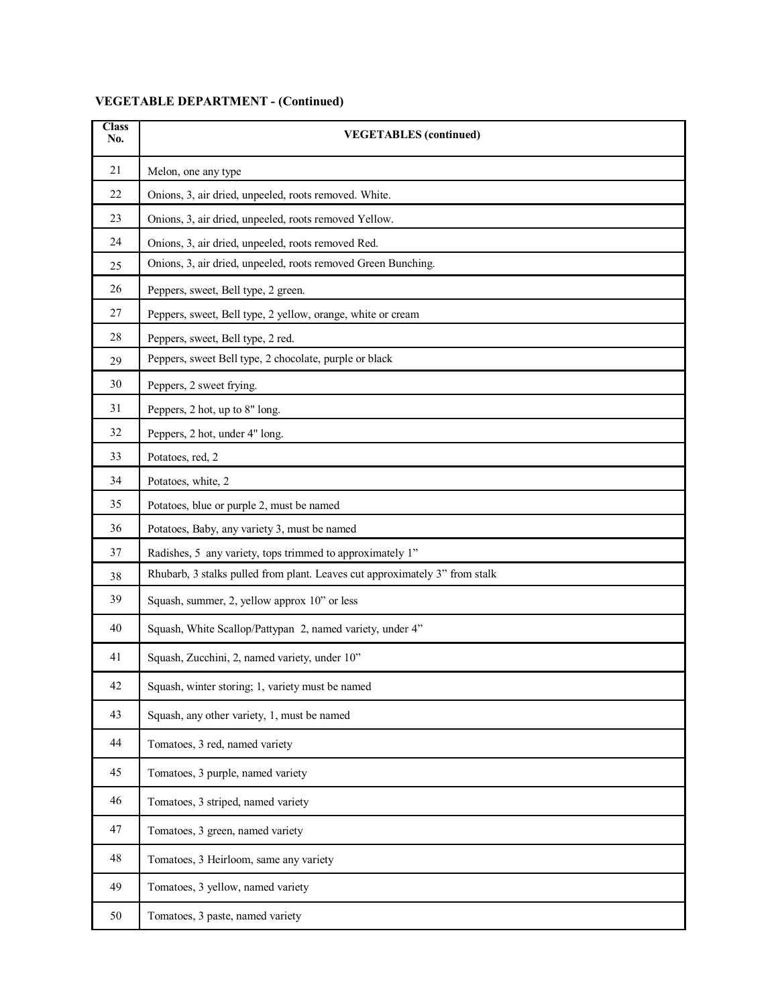# **VEGETABLE DEPARTMENT - (Continued)**

| <b>Class</b><br>No. | <b>VEGETABLES</b> (continued)                                               |  |  |  |
|---------------------|-----------------------------------------------------------------------------|--|--|--|
| 21                  | Melon, one any type                                                         |  |  |  |
| 22                  | Onions, 3, air dried, unpeeled, roots removed. White.                       |  |  |  |
| 23                  | Onions, 3, air dried, unpeeled, roots removed Yellow.                       |  |  |  |
| 24                  | Onions, 3, air dried, unpeeled, roots removed Red.                          |  |  |  |
| 25                  | Onions, 3, air dried, unpeeled, roots removed Green Bunching.               |  |  |  |
| 26                  | Peppers, sweet, Bell type, 2 green.                                         |  |  |  |
| 27                  | Peppers, sweet, Bell type, 2 yellow, orange, white or cream                 |  |  |  |
| 28                  | Peppers, sweet, Bell type, 2 red.                                           |  |  |  |
| 29                  | Peppers, sweet Bell type, 2 chocolate, purple or black                      |  |  |  |
| 30                  | Peppers, 2 sweet frying.                                                    |  |  |  |
| 31                  | Peppers, 2 hot, up to 8" long.                                              |  |  |  |
| 32                  | Peppers, 2 hot, under 4" long.                                              |  |  |  |
| 33                  | Potatoes, red, 2                                                            |  |  |  |
| 34                  | Potatoes, white, 2                                                          |  |  |  |
| 35                  | Potatoes, blue or purple 2, must be named                                   |  |  |  |
| 36                  | Potatoes, Baby, any variety 3, must be named                                |  |  |  |
| 37                  | Radishes, 5 any variety, tops trimmed to approximately 1"                   |  |  |  |
| 38                  | Rhubarb, 3 stalks pulled from plant. Leaves cut approximately 3" from stalk |  |  |  |
| 39                  | Squash, summer, 2, yellow approx 10" or less                                |  |  |  |
| 40                  | Squash, White Scallop/Pattypan 2, named variety, under 4"                   |  |  |  |
| 41                  | Squash, Zucchini, 2, named variety, under 10"                               |  |  |  |
| 42                  | Squash, winter storing; 1, variety must be named                            |  |  |  |
| 43                  | Squash, any other variety, 1, must be named                                 |  |  |  |
| 44                  | Tomatoes, 3 red, named variety                                              |  |  |  |
| 45                  | Tomatoes, 3 purple, named variety                                           |  |  |  |
| 46                  | Tomatoes, 3 striped, named variety                                          |  |  |  |
| 47                  | Tomatoes, 3 green, named variety                                            |  |  |  |
| 48                  | Tomatoes, 3 Heirloom, same any variety                                      |  |  |  |
| 49                  | Tomatoes, 3 yellow, named variety                                           |  |  |  |
| 50                  | Tomatoes, 3 paste, named variety                                            |  |  |  |